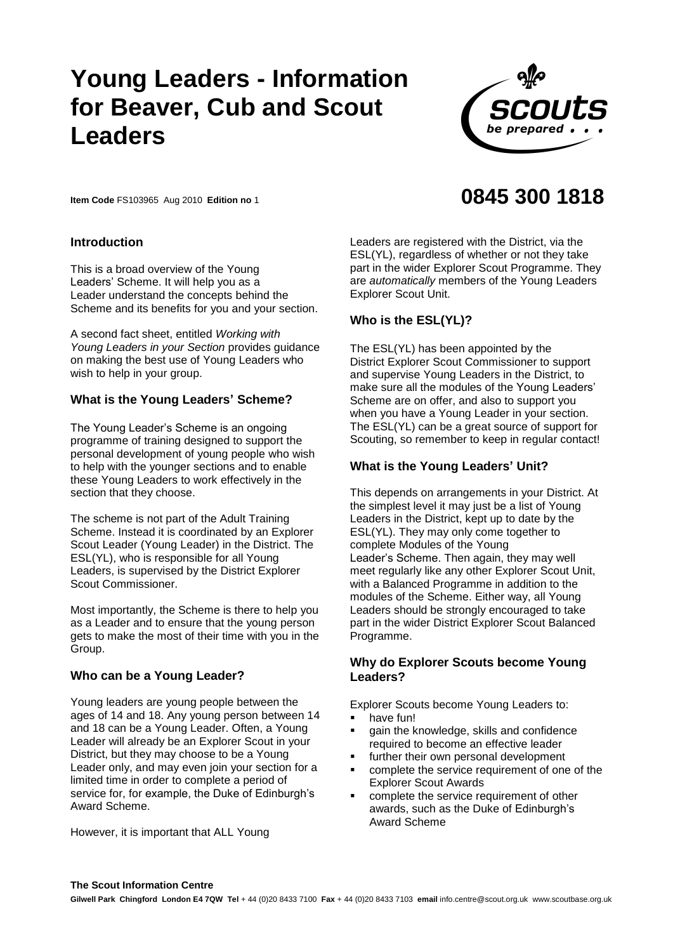# **Young Leaders - Information for Beaver , Cub and Leaders**



**0845 300 1818**

**Item Code** FS103965 Aug 2010 **Edition no** 1

## **Introduction**

This is a broad overview of the Young Leaders' Scheme. It will help you as a Leader understand the concepts behind the Scheme and its benefits for you and your section.

A second fact sheet, entitled *Working with Young Leaders in your Section* provides guidance on making the best use of Young Leaders who wish to help in your group.

#### **What is the Young Leaders' Scheme?**

The Young Leader's Scheme is an ongoing programme of training designed to support the personal development of young people who wish to help with the younger sections and to enable these Young Leaders to work effectively in the section that they choose.

The scheme is not part of the Adult Training Scheme. Instead it is coordinated by an Explorer Scout Leader (Young Leader) in the District. The ESL(YL), who is responsible for all Young Leaders, is supervised by the District Explorer Scout Commissioner.

Most importantly, the Scheme is there to help you as a Leader and to ensure that the young person gets to make the most of their time with you in the Group.

#### **Who can be a Young Leader?**

Young leaders are young people between the ages of 14 and 18. Any young person between 14 and 18 can be a Young Leader. Often, a Young Leader will already be an Explorer Scout in your District, but they may choose to be a Young Leader only, and may even join your section for a limited time in order to complete a period of service for, for example, the Duke of Edinburgh's Award Scheme.

However, it is important that ALL Young

Leaders are registered with the District, via the ESL(YL), regardless of whether or not they take part in the wider Explorer Scout Programme. They are *automatically* members of the Young Leaders Explorer Scout Unit.

#### **Who is the ESL(YL)?**

The ESL(YL) has been appointed by the District Explorer Scout Commissioner to support and supervise Young Leaders in the District, to make sure all the modules of the Young Leaders' Scheme are on offer, and also to support you when you have a Young Leader in your section. The ESL(YL) can be a great source of support for Scouting, so remember to keep in regular contact!

## **What is the Young Leaders' Unit?**

This depends on arrangements in your District. At the simplest level it may just be a list of Young Leaders in the District, kept up to date by the ESL(YL). They may only come together to complete Modules of the Young Leader's Scheme. Then again, they may well meet regularly like any other Explorer Scout Unit, with a Balanced Programme in addition to the modules of the Scheme. Either way, all Young Leaders should be strongly encouraged to take part in the wider District Explorer Scout Balanced Programme.

## **Why do Explorer Scouts become Young Leaders?**

Explorer Scouts become Young Leaders to:

- **-** have fun!
- gain the knowledge, skills and confidence required to become an effective leader
- further their own personal development
- complete the service requirement of one of the Explorer Scout Awards
- complete the service requirement of other awards, such as the Duke of Edinburgh's Award Scheme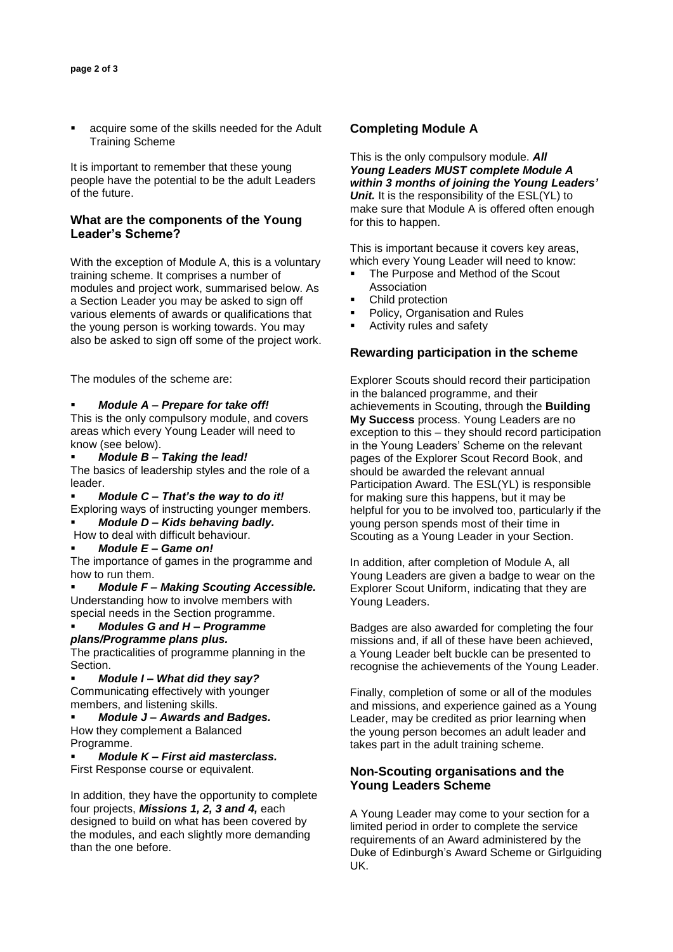acquire some of the skills needed for the Adult Training Scheme

It is important to remember that these young people have the potential to be the adult Leaders of the future.

#### **What are the components of the Young Leader's Scheme?**

With the exception of Module A, this is a voluntary training scheme. It comprises a number of modules and project work, summarised below. As a Section Leader you may be asked to sign off various elements of awards or qualifications that the young person is working towards. You may also be asked to sign off some of the project work.

The modules of the scheme are:

#### *Module A – Prepare for take off!*

This is the only compulsory module, and covers areas which every Young Leader will need to know (see below).

*Module B – Taking the lead!* 

The basics of leadership styles and the role of a leader.

- *Module C – That's the way to do it!*
- Exploring ways of instructing younger members.
- *Module D – Kids behaving badly.*
- How to deal with difficult behaviour. *Module E – Game on!*

The importance of games in the programme and how to run them.

*Module F – Making Scouting Accessible.* Understanding how to involve members with special needs in the Section programme.

*Modules G and H – Programme plans/Programme plans plus.* 

The practicalities of programme planning in the Section.

*Module I – What did they say?* Communicating effectively with younger members, and listening skills.

*Module J – Awards and Badges.*  How they complement a Balanced Programme.

*Module K – First aid masterclass.*

First Response course or equivalent.

In addition, they have the opportunity to complete four projects, *Missions 1, 2, 3 and 4,* each designed to build on what has been covered by the modules, and each slightly more demanding than the one before.

#### **Completing Module A**

This is the only compulsory module. *All Young Leaders MUST complete Module A within 3 months of joining the Young Leaders' Unit.* It is the responsibility of the ESL(YL) to make sure that Module A is offered often enough for this to happen.

This is important because it covers key areas, which every Young Leader will need to know:

- The Purpose and Method of the Scout Association
- Child protection
- Policy, Organisation and Rules
- Activity rules and safety

## **Rewarding participation in the scheme**

Explorer Scouts should record their participation in the balanced programme, and their achievements in Scouting, through the **Building My Success** process. Young Leaders are no exception to this – they should record participation in the Young Leaders' Scheme on the relevant pages of the Explorer Scout Record Book, and should be awarded the relevant annual Participation Award. The ESL(YL) is responsible for making sure this happens, but it may be helpful for you to be involved too, particularly if the young person spends most of their time in Scouting as a Young Leader in your Section.

In addition, after completion of Module A, all Young Leaders are given a badge to wear on the Explorer Scout Uniform, indicating that they are Young Leaders.

Badges are also awarded for completing the four missions and, if all of these have been achieved, a Young Leader belt buckle can be presented to recognise the achievements of the Young Leader.

Finally, completion of some or all of the modules and missions, and experience gained as a Young Leader, may be credited as prior learning when the young person becomes an adult leader and takes part in the adult training scheme.

## **Non-Scouting organisations and the Young Leaders Scheme**

A Young Leader may come to your section for a limited period in order to complete the service requirements of an Award administered by the Duke of Edinburgh's Award Scheme or Girlguiding UK.